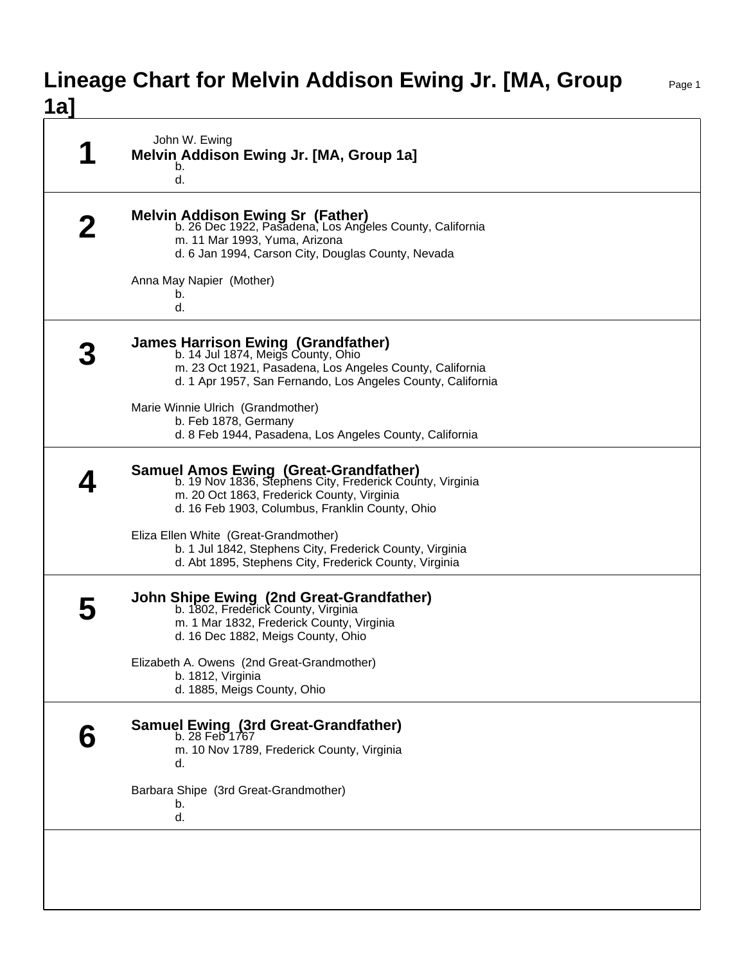## **Lineage Chart for Melvin Addison Ewing Jr. [MA, Group 1a]**

| John W. Ewing<br>Melvin Addison Ewing Jr. [MA, Group 1a]<br>b.<br>d.                                                                                                                                       |
|------------------------------------------------------------------------------------------------------------------------------------------------------------------------------------------------------------|
| Melvin Addison Ewing Sr (Father)<br>b. 26 Dec 1922, Pasadena, Los Angeles County, California<br>m. 11 Mar 1993, Yuma, Arizona<br>d. 6 Jan 1994, Carson City, Douglas County, Nevada                        |
| Anna May Napier (Mother)<br>b.<br>d.                                                                                                                                                                       |
| James Harrison Ewing (Grandfather)<br>b. 14 Jul 1874, Meigs County, Ohio<br>m. 23 Oct 1921, Pasadena, Los Angeles County, California<br>d. 1 Apr 1957, San Fernando, Los Angeles County, California        |
| Marie Winnie Ulrich (Grandmother)<br>b. Feb 1878, Germany<br>d. 8 Feb 1944, Pasadena, Los Angeles County, California                                                                                       |
| <b>Samuel Amos Ewing (Great-Grandfather)</b><br>b. 19 Nov 1836, Stephens City, Frederick County, Virginia<br>m. 20 Oct 1863, Frederick County, Virginia<br>d. 16 Feb 1903, Columbus, Franklin County, Ohio |
| Eliza Ellen White (Great-Grandmother)<br>b. 1 Jul 1842, Stephens City, Frederick County, Virginia<br>d. Abt 1895, Stephens City, Frederick County, Virginia                                                |
| <b>John Shipe Ewing (2nd Great-Grandfather)</b><br>b. 1802, Frederick County, Virginia<br>m. 1 Mar 1832, Frederick County, Virginia<br>d. 16 Dec 1882, Meigs County, Ohio                                  |
| Elizabeth A. Owens (2nd Great-Grandmother)<br>b. 1812, Virginia<br>d. 1885, Meigs County, Ohio                                                                                                             |
| <b>Samuel Ewing (3rd Great-Grandfather)</b><br>b. 28 Feb 1767<br>m. 10 Nov 1789, Frederick County, Virginia<br>d.                                                                                          |
| Barbara Shipe (3rd Great-Grandmother)<br>b.<br>d.                                                                                                                                                          |
|                                                                                                                                                                                                            |